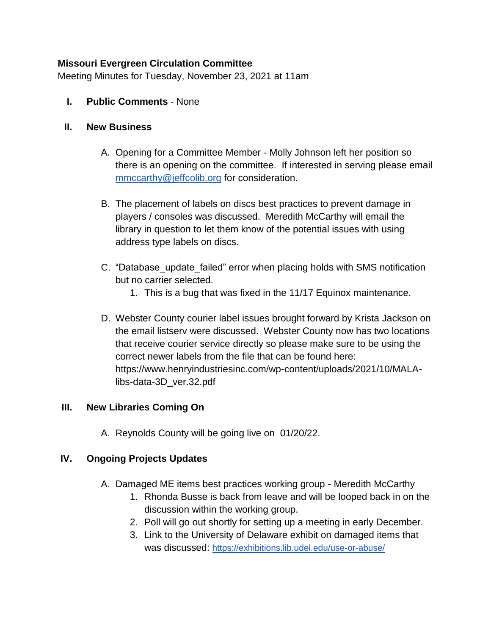#### **Missouri Evergreen Circulation Committee**

Meeting Minutes for Tuesday, November 23, 2021 at 11am

**I. Public Comments** - None

#### **II. New Business**

- A. Opening for a Committee Member Molly Johnson left her position so there is an opening on the committee. If interested in serving please email [mmccarthy@jeffcolib.org](mailto:mmccarthy@jeffcolib.org) for consideration.
- B. The placement of labels on discs best practices to prevent damage in players / consoles was discussed. Meredith McCarthy will email the library in question to let them know of the potential issues with using address type labels on discs.
- C. "Database\_update\_failed" error when placing holds with SMS notification but no carrier selected.
	- 1. This is a bug that was fixed in the 11/17 Equinox maintenance.
- D. Webster County courier label issues brought forward by Krista Jackson on the email listserv were discussed. Webster County now has two locations that receive courier service directly so please make sure to be using the correct newer labels from the file that can be found here: https://www.henryindustriesinc.com/wp-content/uploads/2021/10/MALAlibs-data-3D\_ver.32.pdf

### **III. New Libraries Coming On**

A. Reynolds County will be going live on 01/20/22.

### **IV. Ongoing Projects Updates**

- A. Damaged ME items best practices working group Meredith McCarthy
	- 1. Rhonda Busse is back from leave and will be looped back in on the discussion within the working group.
	- 2. Poll will go out shortly for setting up a meeting in early December.
	- 3. Link to the University of Delaware exhibit on damaged items that was discussed: <https://exhibitions.lib.udel.edu/use-or-abuse/>